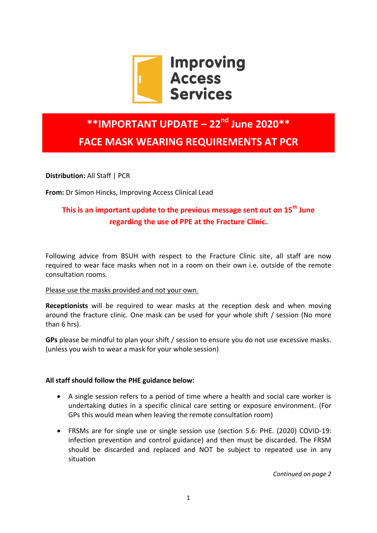

# **\*\*IMPORTANT UPDATE – 22nd June 2020\*\* FACE MASK WEARING REQUIREMENTS AT PCR**

**Distribution:** All Staff | PCR

**From:** Dr Simon Hincks, Improving Access Clinical Lead

## **This is an important update to the previous message sent out on 15th June regarding the use of PPE at the Fracture Clinic.**

Following advice from BSUH with respect to the Fracture Clinic site, all staff are now required to wear face masks when not in a room on their own i.e. outside of the remote consultation rooms.

#### Please use the masks provided and not your own.

**Receptionists** will be required to wear masks at the reception desk and when moving around the fracture clinic. One mask can be used for your whole shift / session (No more than 6 hrs).

**GPs** please be mindful to plan your shift / session to ensure you do not use excessive masks. (unless you wish to wear a mask for your whole session)

#### **All staff should follow the PHE guidance below:**

- A single session refers to a period of time where a health and social care worker is undertaking duties in a specific clinical care setting or exposure environment. (For GPs this would mean when leaving the remote consultation room)
- FRSMs are for single use or single session use (section 5.6: PHE. (2020) COVID-19: infection prevention and control guidance) and then must be discarded. The FRSM should be discarded and replaced and NOT be subject to repeated use in any situation

*Continued on page 2*